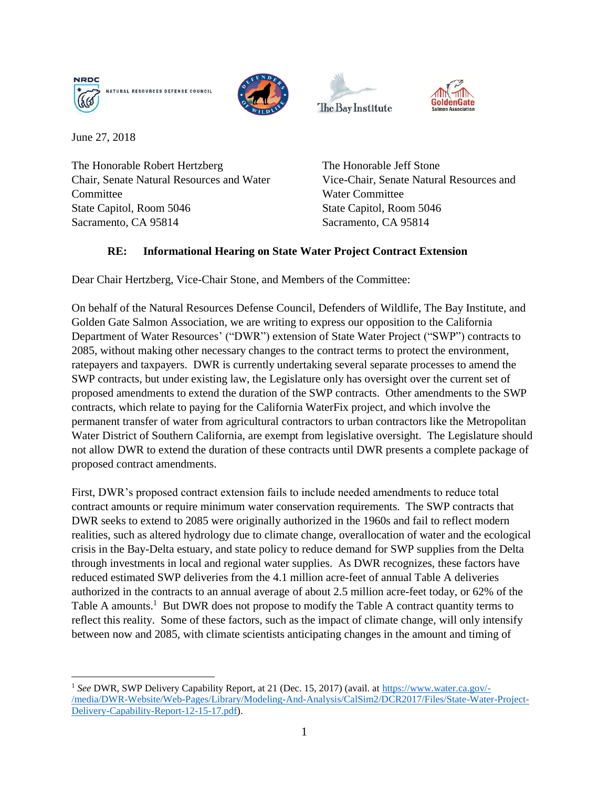







June 27, 2018

 $\overline{\phantom{a}}$ 

The Honorable Robert Hertzberg Chair, Senate Natural Resources and Water **Committee** State Capitol, Room 5046 Sacramento, CA 95814

The Honorable Jeff Stone Vice-Chair, Senate Natural Resources and Water Committee State Capitol, Room 5046 Sacramento, CA 95814

## **RE: Informational Hearing on State Water Project Contract Extension**

Dear Chair Hertzberg, Vice-Chair Stone, and Members of the Committee:

On behalf of the Natural Resources Defense Council, Defenders of Wildlife, The Bay Institute, and Golden Gate Salmon Association, we are writing to express our opposition to the California Department of Water Resources' ("DWR") extension of State Water Project ("SWP") contracts to 2085, without making other necessary changes to the contract terms to protect the environment, ratepayers and taxpayers. DWR is currently undertaking several separate processes to amend the SWP contracts, but under existing law, the Legislature only has oversight over the current set of proposed amendments to extend the duration of the SWP contracts. Other amendments to the SWP contracts, which relate to paying for the California WaterFix project, and which involve the permanent transfer of water from agricultural contractors to urban contractors like the Metropolitan Water District of Southern California, are exempt from legislative oversight. The Legislature should not allow DWR to extend the duration of these contracts until DWR presents a complete package of proposed contract amendments.

First, DWR's proposed contract extension fails to include needed amendments to reduce total contract amounts or require minimum water conservation requirements. The SWP contracts that DWR seeks to extend to 2085 were originally authorized in the 1960s and fail to reflect modern realities, such as altered hydrology due to climate change, overallocation of water and the ecological crisis in the Bay-Delta estuary, and state policy to reduce demand for SWP supplies from the Delta through investments in local and regional water supplies. As DWR recognizes, these factors have reduced estimated SWP deliveries from the 4.1 million acre-feet of annual Table A deliveries authorized in the contracts to an annual average of about 2.5 million acre-feet today, or 62% of the Table A amounts.<sup>1</sup> But DWR does not propose to modify the Table A contract quantity terms to reflect this reality. Some of these factors, such as the impact of climate change, will only intensify between now and 2085, with climate scientists anticipating changes in the amount and timing of

<sup>1</sup> *See* DWR, SWP Delivery Capability Report, at 21 (Dec. 15, 2017) (avail. at [https://www.water.ca.gov/-](https://www.water.ca.gov/-/media/DWR-Website/Web-Pages/Library/Modeling-And-Analysis/CalSim2/DCR2017/Files/State-Water-Project-Delivery-Capability-Report-12-15-17.pdf) [/media/DWR-Website/Web-Pages/Library/Modeling-And-Analysis/CalSim2/DCR2017/Files/State-Water-Project-](https://www.water.ca.gov/-/media/DWR-Website/Web-Pages/Library/Modeling-And-Analysis/CalSim2/DCR2017/Files/State-Water-Project-Delivery-Capability-Report-12-15-17.pdf)[Delivery-Capability-Report-12-15-17.pdf\)](https://www.water.ca.gov/-/media/DWR-Website/Web-Pages/Library/Modeling-And-Analysis/CalSim2/DCR2017/Files/State-Water-Project-Delivery-Capability-Report-12-15-17.pdf).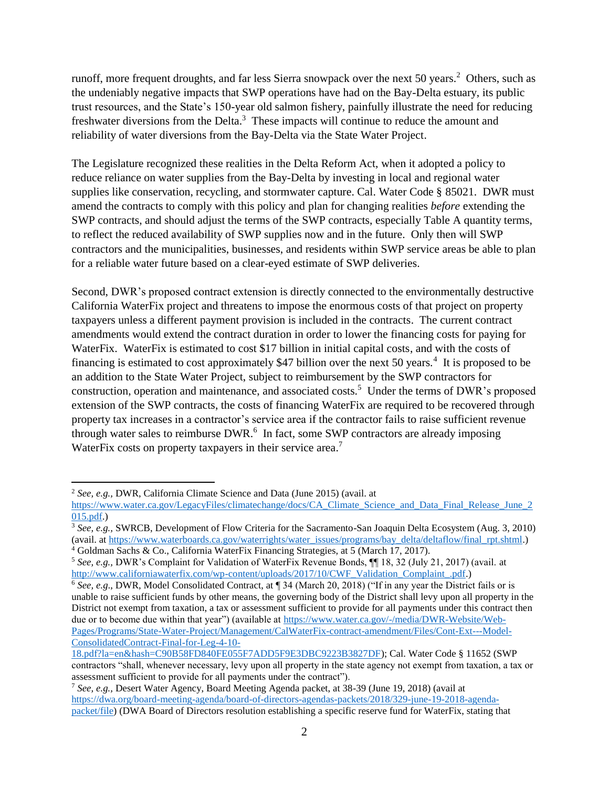runoff, more frequent droughts, and far less Sierra snowpack over the next 50 years.<sup>2</sup> Others, such as the undeniably negative impacts that SWP operations have had on the Bay-Delta estuary, its public trust resources, and the State's 150-year old salmon fishery, painfully illustrate the need for reducing freshwater diversions from the Delta.<sup>3</sup> These impacts will continue to reduce the amount and reliability of water diversions from the Bay-Delta via the State Water Project.

The Legislature recognized these realities in the Delta Reform Act, when it adopted a policy to reduce reliance on water supplies from the Bay-Delta by investing in local and regional water supplies like conservation, recycling, and stormwater capture. Cal. Water Code § 85021. DWR must amend the contracts to comply with this policy and plan for changing realities *before* extending the SWP contracts, and should adjust the terms of the SWP contracts, especially Table A quantity terms, to reflect the reduced availability of SWP supplies now and in the future. Only then will SWP contractors and the municipalities, businesses, and residents within SWP service areas be able to plan for a reliable water future based on a clear-eyed estimate of SWP deliveries.

Second, DWR's proposed contract extension is directly connected to the environmentally destructive California WaterFix project and threatens to impose the enormous costs of that project on property taxpayers unless a different payment provision is included in the contracts. The current contract amendments would extend the contract duration in order to lower the financing costs for paying for WaterFix. WaterFix is estimated to cost \$17 billion in initial capital costs, and with the costs of financing is estimated to cost approximately \$47 billion over the next 50 years.<sup>4</sup> It is proposed to be an addition to the State Water Project, subject to reimbursement by the SWP contractors for construction, operation and maintenance, and associated costs.<sup>5</sup> Under the terms of DWR's proposed extension of the SWP contracts, the costs of financing WaterFix are required to be recovered through property tax increases in a contractor's service area if the contractor fails to raise sufficient revenue through water sales to reimburse DWR.<sup>6</sup> In fact, some SWP contractors are already imposing WaterFix costs on property taxpayers in their service area.<sup>7</sup>

 $\overline{a}$ 

<sup>4</sup> Goldman Sachs & Co., California WaterFix Financing Strategies, at 5 (March 17, 2017).

<sup>2</sup> *See, e.g.,* DWR, California Climate Science and Data (June 2015) (avail. at

[https://www.water.ca.gov/LegacyFiles/climatechange/docs/CA\\_Climate\\_Science\\_and\\_Data\\_Final\\_Release\\_June\\_2](https://www.water.ca.gov/LegacyFiles/climatechange/docs/CA_Climate_Science_and_Data_Final_Release_June_2015.pdf) [015.pdf.](https://www.water.ca.gov/LegacyFiles/climatechange/docs/CA_Climate_Science_and_Data_Final_Release_June_2015.pdf))

<sup>3</sup> *See, e.g.,* SWRCB, Development of Flow Criteria for the Sacramento-San Joaquin Delta Ecosystem (Aug. 3, 2010) (avail. at [https://www.waterboards.ca.gov/waterrights/water\\_issues/programs/bay\\_delta/deltaflow/final\\_rpt.shtml.](https://www.waterboards.ca.gov/waterrights/water_issues/programs/bay_delta/deltaflow/final_rpt.shtml))

<sup>5</sup> *See, e.g.,* DWR's Complaint for Validation of WaterFix Revenue Bonds, ¶¶ 18, 32 (July 21, 2017) (avail. at [http://www.californiawaterfix.com/wp-content/uploads/2017/10/CWF\\_Validation\\_Complaint\\_.pdf.\)](http://www.californiawaterfix.com/wp-content/uploads/2017/10/CWF_Validation_Complaint_.pdf)

<sup>6</sup> *See, e.g*., DWR, Model Consolidated Contract, at ¶ 34 (March 20, 2018) ("If in any year the District fails or is unable to raise sufficient funds by other means, the governing body of the District shall levy upon all property in the District not exempt from taxation, a tax or assessment sufficient to provide for all payments under this contract then due or to become due within that year") (available at [https://www.water.ca.gov/-/media/DWR-Website/Web-](https://www.water.ca.gov/-/media/DWR-Website/Web-Pages/Programs/State-Water-Project/Management/CalWaterFix-contract-amendment/Files/Cont-Ext---Model-ConsolidatedContract-Final-for-Leg-4-10-18.pdf?la=en&hash=C90B58FD840FE055F7ADD5F9E3DBC9223B3827DF)[Pages/Programs/State-Water-Project/Management/CalWaterFix-contract-amendment/Files/Cont-Ext---Model-](https://www.water.ca.gov/-/media/DWR-Website/Web-Pages/Programs/State-Water-Project/Management/CalWaterFix-contract-amendment/Files/Cont-Ext---Model-ConsolidatedContract-Final-for-Leg-4-10-18.pdf?la=en&hash=C90B58FD840FE055F7ADD5F9E3DBC9223B3827DF)[ConsolidatedContract-Final-for-Leg-4-10-](https://www.water.ca.gov/-/media/DWR-Website/Web-Pages/Programs/State-Water-Project/Management/CalWaterFix-contract-amendment/Files/Cont-Ext---Model-ConsolidatedContract-Final-for-Leg-4-10-18.pdf?la=en&hash=C90B58FD840FE055F7ADD5F9E3DBC9223B3827DF)

[<sup>18.</sup>pdf?la=en&hash=C90B58FD840FE055F7ADD5F9E3DBC9223B3827DF\)](https://www.water.ca.gov/-/media/DWR-Website/Web-Pages/Programs/State-Water-Project/Management/CalWaterFix-contract-amendment/Files/Cont-Ext---Model-ConsolidatedContract-Final-for-Leg-4-10-18.pdf?la=en&hash=C90B58FD840FE055F7ADD5F9E3DBC9223B3827DF); Cal. Water Code § 11652 (SWP contractors "shall, whenever necessary, levy upon all property in the state agency not exempt from taxation, a tax or assessment sufficient to provide for all payments under the contract").

<sup>7</sup> *See, e.g.,* Desert Water Agency, Board Meeting Agenda packet, at 38-39 (June 19, 2018) (avail at [https://dwa.org/board-meeting-agenda/board-of-directors-agendas-packets/2018/329-june-19-2018-agenda](https://dwa.org/board-meeting-agenda/board-of-directors-agendas-packets/2018/329-june-19-2018-agenda-packet/file)[packet/file\)](https://dwa.org/board-meeting-agenda/board-of-directors-agendas-packets/2018/329-june-19-2018-agenda-packet/file) (DWA Board of Directors resolution establishing a specific reserve fund for WaterFix, stating that